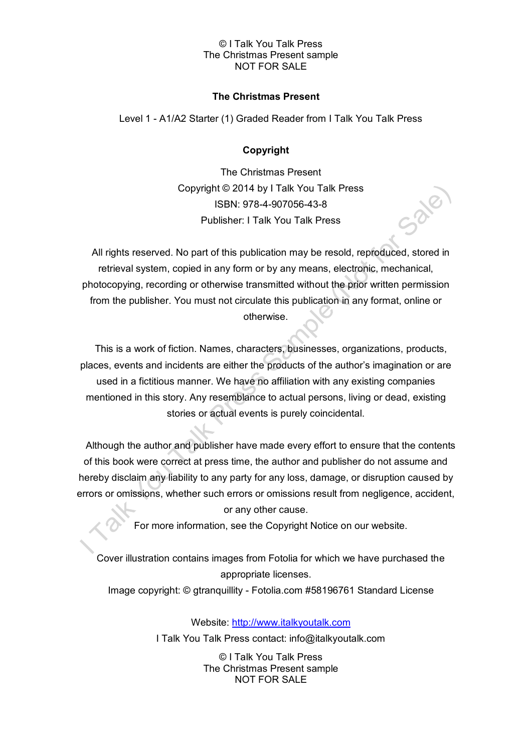## © I Talk You Talk Press The Christmas Present sample NOT FOR SALE

## **The Christmas Present**

Level 1 - A1/A2 Starter (1) Graded Reader from I Talk You Talk Press

# **Copyright**

The Christmas Present Copyright © 2014 by I Talk You Talk Press ISBN: 978-4-907056-43-8 Publisher: I Talk You Talk Press

All rights reserved. No part of this publication may be resold, reproduced, stored in retrieval system, copied in any form or by any means, electronic, mechanical, photocopying, recording or otherwise transmitted without the prior written permission from the publisher. You must not circulate this publication in any format, online or otherwise.

This is a work of fiction. Names, characters, businesses, organizations, products, places, events and incidents are either the products of the author's imagination or are used in a fictitious manner. We have no affiliation with any existing companies mentioned in this story. Any resemblance to actual persons, living or dead, existing stories or actual events is purely coincidental.

Although the author and publisher have made every effort to ensure that the contents of this book were correct at press time, the author and publisher do not assume and hereby disclaim any liability to any party for any loss, damage, or disruption caused by errors or omissions, whether such errors or omissions result from negligence, accident, or any other cause.

For more information, see the Copyright Notice on our website.

Cover illustration contains images from Fotolia for which we have purchased the appropriate licenses.

Image copyright: © gtranquillity - Fotolia.com #58196761 Standard License

Website: [http://www.italkyoutalk.com](http://www.italkyoutalk.com/)

I Talk You Talk Press contact: info@italkyoutalk.com

© I Talk You Talk Press The Christmas Present sample NOT FOR SALE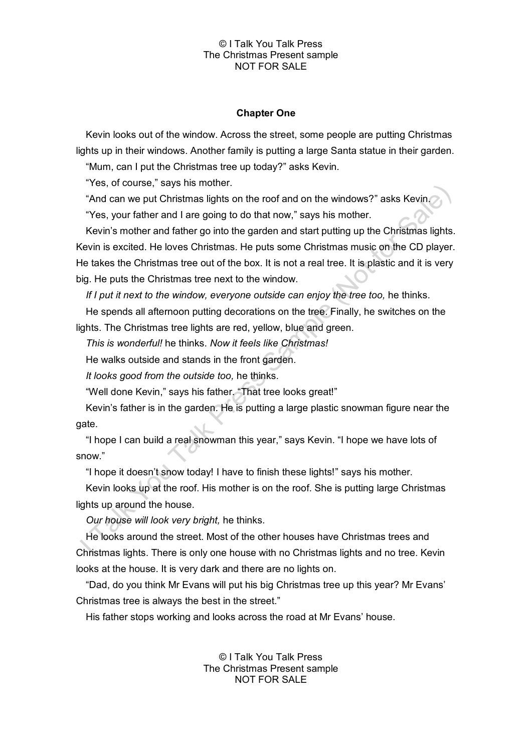#### © I Talk You Talk Press The Christmas Present sample NOT FOR SALE

## **Chapter One**

Kevin looks out of the window. Across the street, some people are putting Christmas lights up in their windows. Another family is putting a large Santa statue in their garden.

"Mum, can I put the Christmas tree up today?" asks Kevin.

"Yes, of course," says his mother.

"And can we put Christmas lights on the roof and on the windows?" asks Kevin.

"Yes, your father and I are going to do that now," says his mother.

Kevin's mother and father go into the garden and start putting up the Christmas lights. Kevin is excited. He loves Christmas. He puts some Christmas music on the CD player. He takes the Christmas tree out of the box. It is not a real tree. It is plastic and it is very big. He puts the Christmas tree next to the window.

*If I put it next to the window, everyone outside can enjoy the tree too,* he thinks.

He spends all afternoon putting decorations on the tree. Finally, he switches on the lights. The Christmas tree lights are red, yellow, blue and green.

*This is wonderful!* he thinks. *Now it feels like Christmas!*

He walks outside and stands in the front garden.

*It looks good from the outside too,* he thinks.

"Well done Kevin," says his father. "That tree looks great!"

Kevin's father is in the garden. He is putting a large plastic snowman figure near the gate.

"I hope I can build a real snowman this year," says Kevin. "I hope we have lots of snow."

"I hope it doesn't snow today! I have to finish these lights!" says his mother.

Kevin looks up at the roof. His mother is on the roof. She is putting large Christmas lights up around the house.

*Our house will look very bright,* he thinks.

He looks around the street. Most of the other houses have Christmas trees and Christmas lights. There is only one house with no Christmas lights and no tree. Kevin looks at the house. It is very dark and there are no lights on.

"Dad, do you think Mr Evans will put his big Christmas tree up this year? Mr Evans' Christmas tree is always the best in the street."

His father stops working and looks across the road at Mr Evans' house.

© I Talk You Talk Press The Christmas Present sample NOT FOR SALE